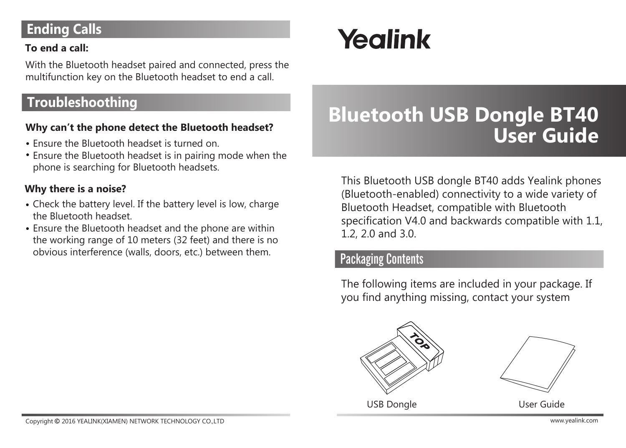## **Ending Calls**

#### **To end a call:**

With the Bluetooth headset paired and connected, press the multifunction key on the Bluetooth headset to end a call.

## **Troubleshoothing**

#### **Why can't the phone detect the Bluetooth headset?**

- Ensure the Bluetooth headset is turned on.
- Ensure the Bluetooth headset is in pairing mode when the phone is searching for Bluetooth headsets.

#### **Why there is a noise?**

- Check the battery level. If the battery level is low, charge the Bluetooth headset.
- Ensure the Bluetooth headset and the phone are within the working range of 10 meters (32 feet) and there is no obvious interference (walls, doors, etc.) between them.

# Yealink

## **Bluetooth USB Dongle BT40 User Guide**

This Bluetooth USB dongle BT40 adds Yealink phones (Bluetooth-enabled) connectivity to a wide variety of Bluetooth Headset, compatible with Bluetooth specification V4.0 and backwards compatible with 1.1, 1.2, 2.0 and 3.0.

### Packaging Contents

The following items are included in your package. If you find anything missing, contact your system